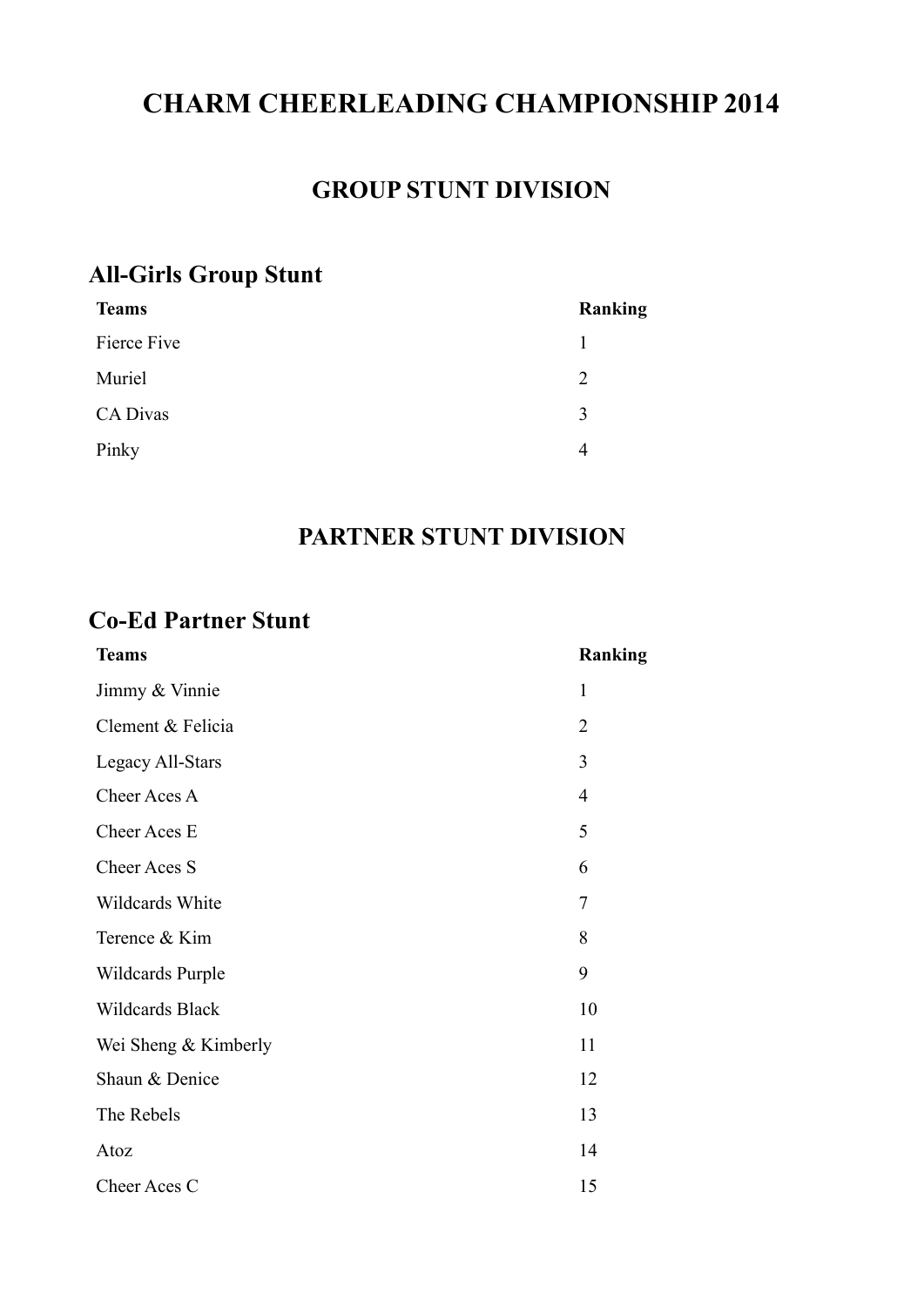# **CHARM CHEERLEADING CHAMPIONSHIP 2014**

#### **GROUP STUNT DIVISION**

#### **All-Girls Group Stunt**

| <b>Teams</b> | Ranking        |
|--------------|----------------|
| Fierce Five  |                |
| Muriel       | $\overline{2}$ |
| CA Divas     | 3              |
| Pinky        | 4              |

#### **PARTNER STUNT DIVISION**

#### **Co-Ed Partner Stunt**

| <b>Teams</b>         | Ranking        |
|----------------------|----------------|
| Jimmy & Vinnie       | $\mathbf{1}$   |
| Clement & Felicia    | $\overline{2}$ |
| Legacy All-Stars     | 3              |
| Cheer Aces A         | $\overline{4}$ |
| Cheer Aces E         | 5              |
| Cheer Aces S         | 6              |
| Wildcards White      | $\overline{7}$ |
| Terence & Kim        | 8              |
| Wildcards Purple     | 9              |
| Wildcards Black      | 10             |
| Wei Sheng & Kimberly | 11             |
| Shaun & Denice       | 12             |
| The Rebels           | 13             |
| Atoz                 | 14             |
| Cheer Aces C         | 15             |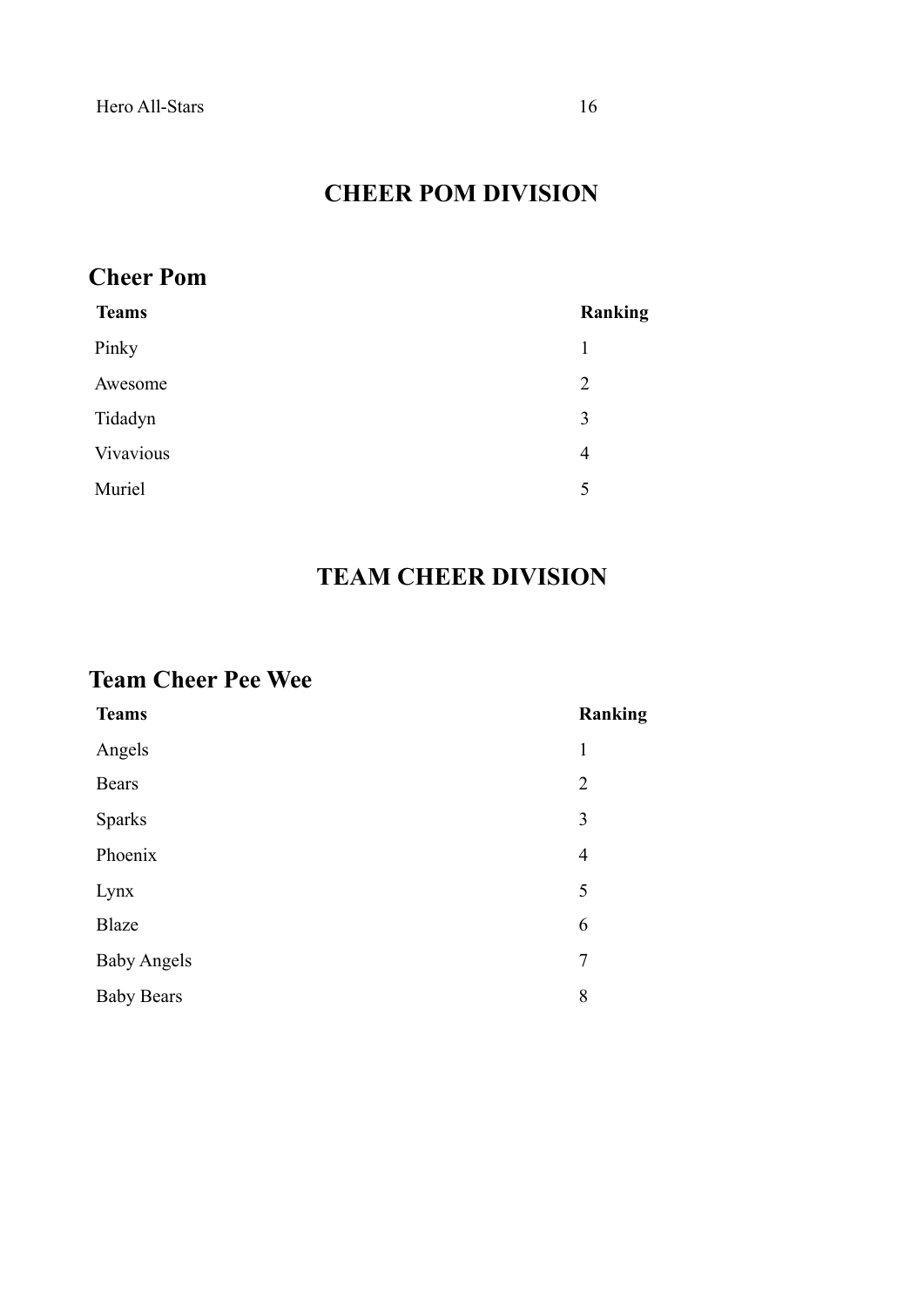#### **CHEER POM DIVISION**

#### **Cheer Pom**

| <b>Teams</b> | Ranking |
|--------------|---------|
| Pinky        | 1       |
| Awesome      | 2       |
| Tidadyn      | 3       |
| Vivavious    | 4       |
| Muriel       | 5       |
|              |         |

## **TEAM CHEER DIVISION**

#### **Team Cheer Pee Wee**

| <b>Teams</b>       | Ranking        |
|--------------------|----------------|
| Angels             | 1              |
| <b>Bears</b>       | $\overline{2}$ |
| <b>Sparks</b>      | 3              |
| Phoenix            | $\overline{4}$ |
| Lynx               | 5              |
| <b>Blaze</b>       | 6              |
| <b>Baby Angels</b> | $\overline{7}$ |
| <b>Baby Bears</b>  | 8              |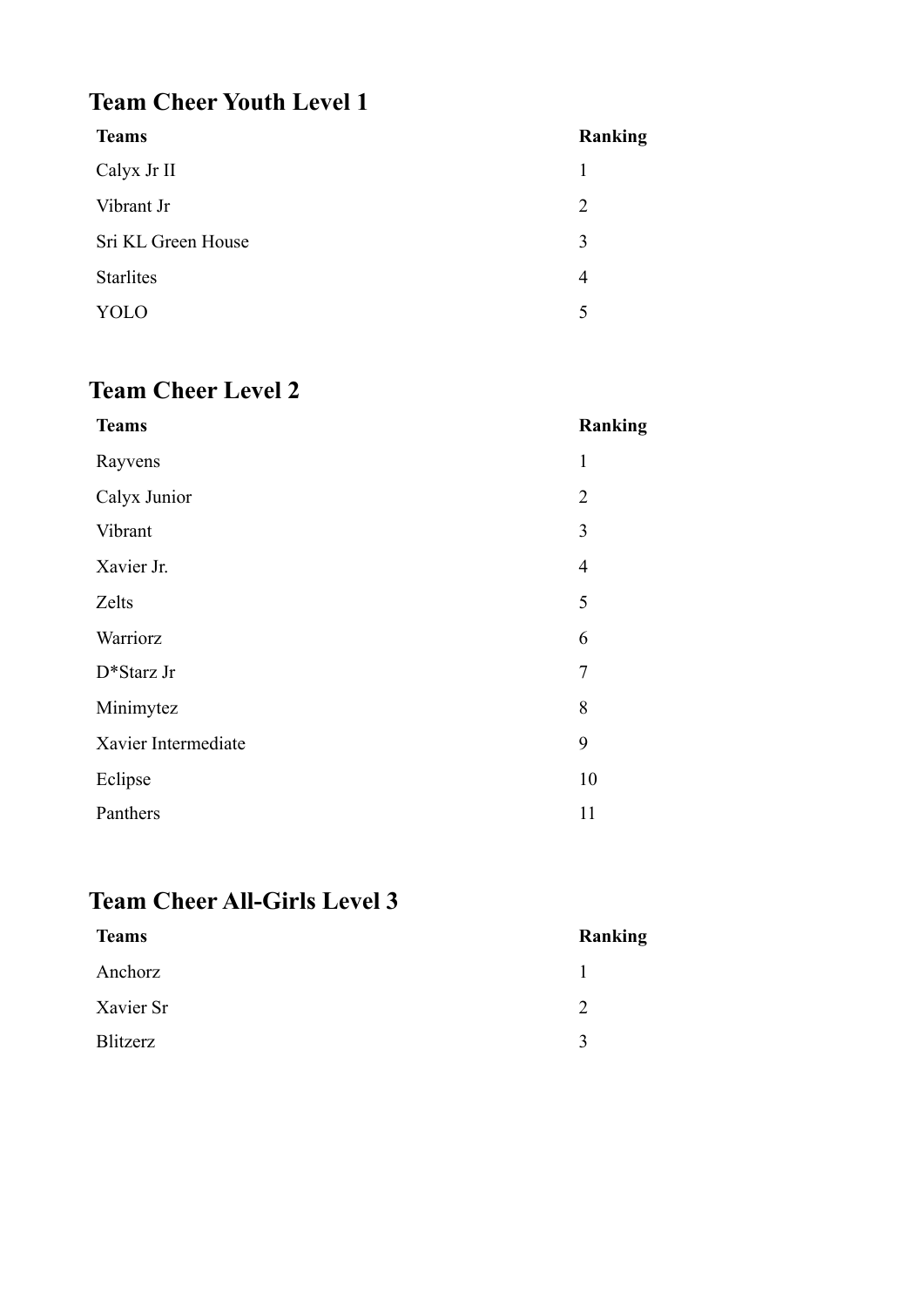## **Team Cheer Youth Level 1**

| <b>Teams</b>       | Ranking        |
|--------------------|----------------|
| Calyx Jr II        | 1              |
| Vibrant Jr         | $\overline{2}$ |
| Sri KL Green House | 3              |
| <b>Starlites</b>   | 4              |
| YOLO               | 5              |
|                    |                |

# **Team Cheer Level 2**

| <b>Teams</b>        | Ranking        |
|---------------------|----------------|
| Rayvens             | $\mathbf{1}$   |
| Calyx Junior        | $\overline{2}$ |
| Vibrant             | 3              |
| Xavier Jr.          | $\overline{4}$ |
| Zelts               | 5              |
| Warriorz            | 6              |
| D*Starz Jr          | $\overline{7}$ |
| Minimytez           | 8              |
| Xavier Intermediate | 9              |
| Eclipse             | 10             |
| Panthers            | 11             |

# **Team Cheer All-Girls Level 3**

| <b>Teams</b> | Ranking      |
|--------------|--------------|
| Anchorz      |              |
| Xavier Sr    |              |
| Blitzerz     | $\mathbf{R}$ |